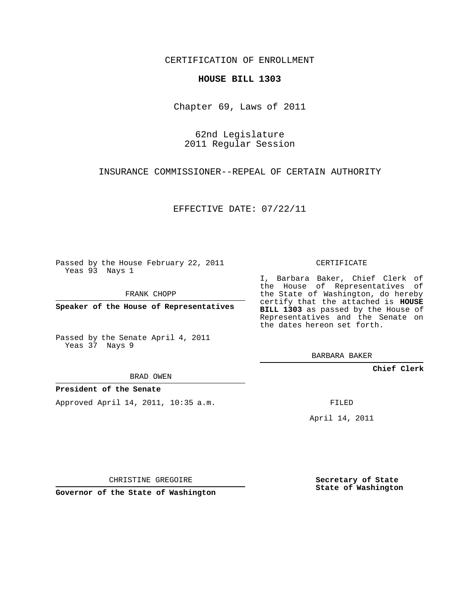CERTIFICATION OF ENROLLMENT

## **HOUSE BILL 1303**

Chapter 69, Laws of 2011

62nd Legislature 2011 Regular Session

INSURANCE COMMISSIONER--REPEAL OF CERTAIN AUTHORITY

EFFECTIVE DATE: 07/22/11

Passed by the House February 22, 2011 Yeas 93 Nays 1

FRANK CHOPP

**Speaker of the House of Representatives**

Passed by the Senate April 4, 2011 Yeas 37 Nays 9

BRAD OWEN

## **President of the Senate**

Approved April 14, 2011, 10:35 a.m.

CERTIFICATE

I, Barbara Baker, Chief Clerk of the House of Representatives of the State of Washington, do hereby certify that the attached is **HOUSE BILL 1303** as passed by the House of Representatives and the Senate on the dates hereon set forth.

BARBARA BAKER

**Chief Clerk**

FILED

April 14, 2011

CHRISTINE GREGOIRE

**Governor of the State of Washington**

**Secretary of State State of Washington**